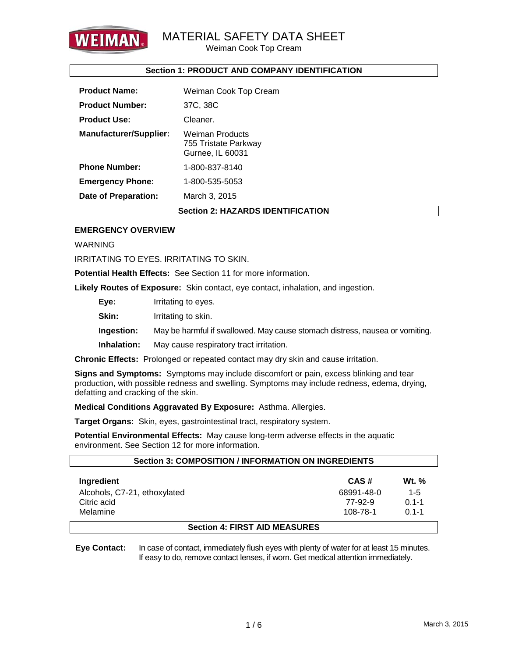

Weiman Cook Top Cream

### **Section 1: PRODUCT AND COMPANY IDENTIFICATION**

| <b>Product Name:</b>                     | Weiman Cook Top Cream                                              |  |  |
|------------------------------------------|--------------------------------------------------------------------|--|--|
| <b>Product Number:</b>                   | 37C, 38C                                                           |  |  |
| <b>Product Use:</b>                      | Cleaner.                                                           |  |  |
| <b>Manufacturer/Supplier:</b>            | <b>Weiman Products</b><br>755 Tristate Parkway<br>Gurnee, IL 60031 |  |  |
| <b>Phone Number:</b>                     | 1-800-837-8140                                                     |  |  |
| <b>Emergency Phone:</b>                  | 1-800-535-5053                                                     |  |  |
| Date of Preparation:                     | March 3, 2015                                                      |  |  |
| <b>Section 2: HAZARDS IDENTIFICATION</b> |                                                                    |  |  |

### **EMERGENCY OVERVIEW**

WARNING

IRRITATING TO EYES. IRRITATING TO SKIN.

**Potential Health Effects:** See Section 11 for more information.

**Likely Routes of Exposure:** Skin contact, eye contact, inhalation, and ingestion.

**Eye:** Irritating to eyes.

**Skin:** Irritating to skin.

**Ingestion:** May be harmful if swallowed. May cause stomach distress, nausea or vomiting.

**Inhalation:** May cause respiratory tract irritation.

**Chronic Effects:** Prolonged or repeated contact may dry skin and cause irritation.

**Signs and Symptoms:** Symptoms may include discomfort or pain, excess blinking and tear production, with possible redness and swelling. Symptoms may include redness, edema, drying, defatting and cracking of the skin.

**Medical Conditions Aggravated By Exposure:** Asthma. Allergies.

**Target Organs:** Skin, eyes, gastrointestinal tract, respiratory system.

**Potential Environmental Effects:** May cause long-term adverse effects in the aquatic environment. See Section 12 for more information.

| <b>Section 3: COMPOSITION / INFORMATION ON INGREDIENTS</b> |            |              |  |  |
|------------------------------------------------------------|------------|--------------|--|--|
| <b>Ingredient</b>                                          | CAS#       | <b>Wt.</b> % |  |  |
| Alcohols, C7-21, ethoxylated                               | 68991-48-0 | $1 - 5$      |  |  |
| Citric acid                                                | 77-92-9    | $0.1 - 1$    |  |  |
| Melamine                                                   | 108-78-1   | $01 - 1$     |  |  |
| <b>Continue 4. FIDOT AID MEACHDEC</b>                      |            |              |  |  |

### **Section 4: FIRST AID MEASURES**

**Eye Contact:** In case of contact, immediately flush eyes with plenty of water for at least 15 minutes. If easy to do, remove contact lenses, if worn. Get medical attention immediately.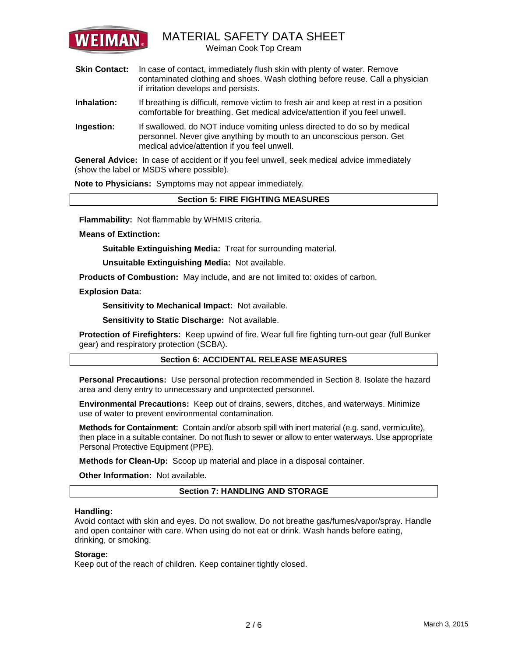

Weiman Cook Top Cream

- **Skin Contact:** In case of contact, immediately flush skin with plenty of water. Remove contaminated clothing and shoes. Wash clothing before reuse. Call a physician if irritation develops and persists.
- **Inhalation:** If breathing is difficult, remove victim to fresh air and keep at rest in a position comfortable for breathing. Get medical advice/attention if you feel unwell.
- **Ingestion:** If swallowed, do NOT induce vomiting unless directed to do so by medical personnel. Never give anything by mouth to an unconscious person. Get medical advice/attention if you feel unwell.

**General Advice:** In case of accident or if you feel unwell, seek medical advice immediately (show the label or MSDS where possible).

**Note to Physicians:** Symptoms may not appear immediately.

### **Section 5: FIRE FIGHTING MEASURES**

**Flammability:** Not flammable by WHMIS criteria.

**Means of Extinction:**

**Suitable Extinguishing Media:** Treat for surrounding material.

**Unsuitable Extinguishing Media:** Not available.

**Products of Combustion:** May include, and are not limited to: oxides of carbon.

**Explosion Data:**

**Sensitivity to Mechanical Impact:** Not available.

**Sensitivity to Static Discharge:** Not available.

**Protection of Firefighters:** Keep upwind of fire. Wear full fire fighting turn-out gear (full Bunker gear) and respiratory protection (SCBA).

### **Section 6: ACCIDENTAL RELEASE MEASURES**

**Personal Precautions:** Use personal protection recommended in Section 8. Isolate the hazard area and deny entry to unnecessary and unprotected personnel.

**Environmental Precautions:** Keep out of drains, sewers, ditches, and waterways. Minimize use of water to prevent environmental contamination.

**Methods for Containment:** Contain and/or absorb spill with inert material (e.g. sand, vermiculite), then place in a suitable container. Do not flush to sewer or allow to enter waterways. Use appropriate Personal Protective Equipment (PPE).

**Methods for Clean-Up:** Scoop up material and place in a disposal container.

**Other Information:** Not available.

**Section 7: HANDLING AND STORAGE**

### **Handling:**

Avoid contact with skin and eyes. Do not swallow. Do not breathe gas/fumes/vapor/spray. Handle and open container with care. When using do not eat or drink. Wash hands before eating, drinking, or smoking.

### **Storage:**

Keep out of the reach of children. Keep container tightly closed.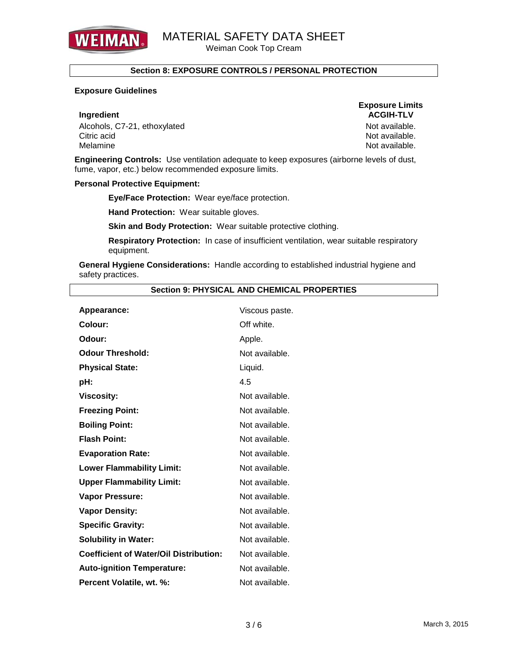

Weiman Cook Top Cream

### **Section 8: EXPOSURE CONTROLS / PERSONAL PROTECTION**

### **Exposure Guidelines**

Alcohols, C7-21, ethoxylated Not available. Citric acid **Note and Solution Citric acid** Not available. Melamine Notation and Notation and Notation and Notation and Notation and Notation and Notation and Notation and Notation and Notation and Notation and Notation and Notation and Notation and Notation and Notation and Notat

**Exposure Limits Ingredient ACGIH-TLV** 

**Engineering Controls:** Use ventilation adequate to keep exposures (airborne levels of dust, fume, vapor, etc.) below recommended exposure limits.

### **Personal Protective Equipment:**

**Eye/Face Protection:** Wear eye/face protection.

**Hand Protection:** Wear suitable gloves.

**Skin and Body Protection: Wear suitable protective clothing.** 

**Respiratory Protection:** In case of insufficient ventilation, wear suitable respiratory equipment.

**General Hygiene Considerations:** Handle according to established industrial hygiene and safety practices.

| Appearance:                                   | Viscous paste. |
|-----------------------------------------------|----------------|
| Colour:                                       | Off white.     |
| Odour:                                        | Apple.         |
| <b>Odour Threshold:</b>                       | Not available. |
| <b>Physical State:</b>                        | Liquid.        |
| pH:                                           | 4.5            |
| <b>Viscosity:</b>                             | Not available. |
| <b>Freezing Point:</b>                        | Not available. |
| <b>Boiling Point:</b>                         | Not available. |
| <b>Flash Point:</b>                           | Not available. |
| <b>Evaporation Rate:</b>                      | Not available. |
| <b>Lower Flammability Limit:</b>              | Not available. |
| <b>Upper Flammability Limit:</b>              | Not available. |
| Vapor Pressure:                               | Not available. |
| <b>Vapor Density:</b>                         | Not available. |
| <b>Specific Gravity:</b>                      | Not available. |
| <b>Solubility in Water:</b>                   | Not available. |
| <b>Coefficient of Water/Oil Distribution:</b> | Not available. |
| <b>Auto-ignition Temperature:</b>             | Not available. |
| Percent Volatile, wt. %:                      | Not available. |

### **Section 9: PHYSICAL AND CHEMICAL PROPERTIES**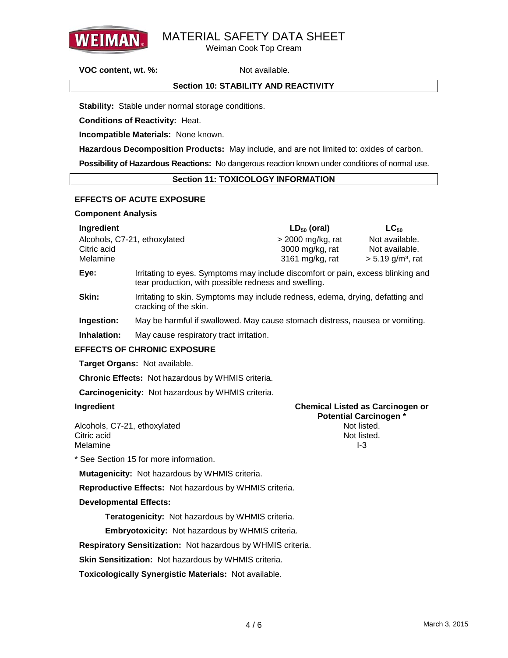

Weiman Cook Top Cream

**VOC content, wt. %:** Not available.

### **Section 10: STABILITY AND REACTIVITY**

**Stability:** Stable under normal storage conditions.

**Conditions of Reactivity:** Heat.

**Incompatible Materials:** None known.

**Hazardous Decomposition Products:** May include, and are not limited to: oxides of carbon.

**Possibility of Hazardous Reactions:** No dangerous reaction known under conditions of normal use.

### **Section 11: TOXICOLOGY INFORMATION**

### **EFFECTS OF ACUTE EXPOSURE**

### **Component Analysis**

| Ingredient                   | $LD_{50}$ (oral)    | $LC_{50}$                       |
|------------------------------|---------------------|---------------------------------|
| Alcohols, C7-21, ethoxylated | $>$ 2000 mg/kg, rat | Not available.                  |
| Citric acid                  | 3000 mg/kg, rat     | Not available.                  |
| Melamine                     | 3161 mg/kg, rat     | $> 5.19$ g/m <sup>3</sup> , rat |
|                              |                     |                                 |

**Eye:** Irritating to eyes. Symptoms may include discomfort or pain, excess blinking and tear production, with possible redness and swelling.

**Skin:** Irritating to skin. Symptoms may include redness, edema, drying, defatting and cracking of the skin.

**Ingestion:** May be harmful if swallowed. May cause stomach distress, nausea or vomiting.

**Inhalation:** May cause respiratory tract irritation.

### **EFFECTS OF CHRONIC EXPOSURE**

**Target Organs:** Not available.

**Chronic Effects:** Not hazardous by WHMIS criteria.

**Carcinogenicity:** Not hazardous by WHMIS criteria.

Alcohols, C7-21, ethoxylated. Citric acid **Note and Solution Citric acid** Not listed. Melamine **I-3** 

# **Ingredient Chemical Listed as Carcinogen or Potential Carcinogen \***

\* See Section 15 for more information.

**Mutagenicity:** Not hazardous by WHMIS criteria.

**Reproductive Effects:** Not hazardous by WHMIS criteria.

### **Developmental Effects:**

**Teratogenicity:** Not hazardous by WHMIS criteria.

**Embryotoxicity:** Not hazardous by WHMIS criteria.

**Respiratory Sensitization:** Not hazardous by WHMIS criteria.

**Skin Sensitization: Not hazardous by WHMIS criteria.** 

**Toxicologically Synergistic Materials:** Not available.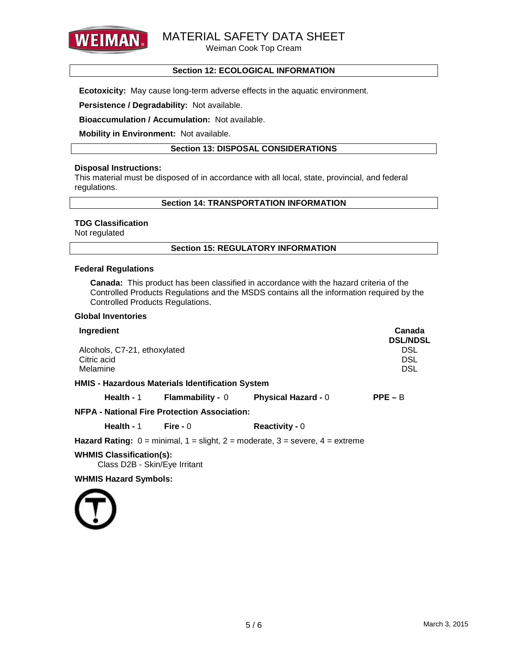

Weiman Cook Top Cream

### **Section 12: ECOLOGICAL INFORMATION**

**Ecotoxicity:** May cause long-term adverse effects in the aquatic environment.

### **Persistence / Degradability:** Not available.

**Bioaccumulation / Accumulation:** Not available.

**Mobility in Environment:** Not available.

### **Section 13: DISPOSAL CONSIDERATIONS**

### **Disposal Instructions:**

This material must be disposed of in accordance with all local, state, provincial, and federal regulations.

### **Section 14: TRANSPORTATION INFORMATION**

### **TDG Classification**

Not regulated

### **Section 15: REGULATORY INFORMATION**

### **Federal Regulations**

**Canada:** This product has been classified in accordance with the hazard criteria of the Controlled Products Regulations and the MSDS contains all the information required by the Controlled Products Regulations.

### **Global Inventories**

| Ingredient                                              |                                                         |                                                                                                                                       | Canada<br><b>DSL/NDSL</b>              |
|---------------------------------------------------------|---------------------------------------------------------|---------------------------------------------------------------------------------------------------------------------------------------|----------------------------------------|
| Alcohols, C7-21, ethoxylated<br>Citric acid<br>Melamine |                                                         |                                                                                                                                       | <b>DSL</b><br><b>DSL</b><br><b>DSL</b> |
|                                                         |                                                         |                                                                                                                                       |                                        |
|                                                         | <b>HMIS - Hazardous Materials Identification System</b> |                                                                                                                                       |                                        |
|                                                         |                                                         | Health - $1$ Flammability - $0$ Physical Hazard - $0$                                                                                 | $PPE - B$                              |
|                                                         | <b>NFPA - National Fire Protection Association:</b>     |                                                                                                                                       |                                        |
| Health - 1 $\blacksquare$ Fire - 0                      |                                                         | <b>Reactivity - 0</b>                                                                                                                 |                                        |
|                                                         |                                                         | <b>Hazard Rating:</b> $0 = \text{minimal}$ , $1 = \text{slight}$ , $2 = \text{moderate}$ , $3 = \text{severe}$ , $4 = \text{extreme}$ |                                        |
| <b>WHMIS Classification(s):</b>                         |                                                         |                                                                                                                                       |                                        |

Class D2B - Skin/Eye Irritant

**WHMIS Hazard Symbols:**